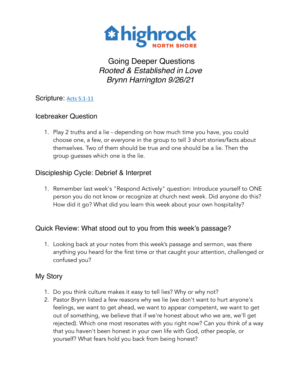

# Going Deeper Questions *Rooted & Established in Love Brynn Harrington 9/26/21*

## Scripture: [Acts 5:1-11](https://www.biblegateway.com/passage/?search=Acts+5:1-11&version=NIV)

### Icebreaker Question

1. Play 2 truths and a lie - depending on how much time you have, you could choose one, a few, or everyone in the group to tell 3 short stories/facts about themselves. Two of them should be true and one should be a lie. Then the group guesses which one is the lie.

## Discipleship Cycle: Debrief & Interpret

1. Remember last week's "Respond Actively" question: Introduce yourself to ONE person you do not know or recognize at church next week. Did anyone do this? How did it go? What did you learn this week about your own hospitality?

## Quick Review: What stood out to you from this week's passage?

1. Looking back at your notes from this week's passage and sermon, was there anything you heard for the first time or that caught your attention, challenged or confused you?

## My Story

- 1. Do you think culture makes it easy to tell lies? Why or why not?
- 2. Pastor Brynn listed a few reasons why we lie (we don't want to hurt anyone's feelings, we want to get ahead, we want to appear competent, we want to get out of something, we believe that if we're honest about who we are, we'll get rejected). Which one most resonates with you right now? Can you think of a way that you haven't been honest in your own life with God, other people, or yourself? What fears hold you back from being honest?